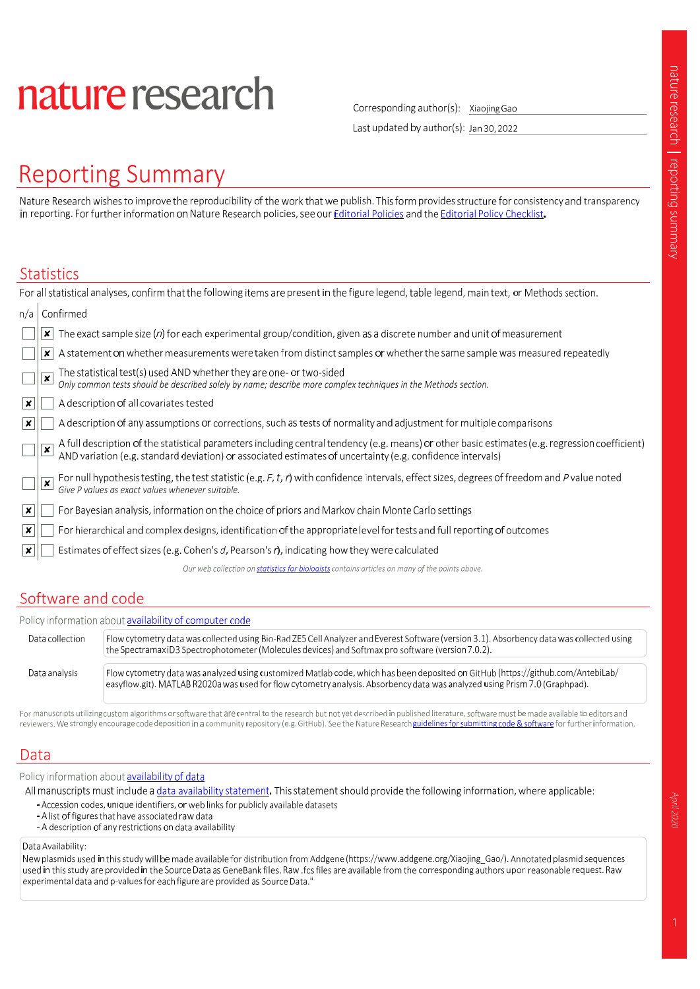# nature research

Corresponding author(s): Xiaojing Gao

Last updated by author(s): Jan 30, 2022

# **Reporting Summary**

Nature Research wishes to improve the reproducibility of the work that we publish. This form provides structure for consistency and transparency in reporting. For further information on Nature Research policies, see our Editorial Policies and the Editorial Policy Checklist.

#### **Statistics**

|                           | For all statistical analyses, confirm that the following items are present in the figure legend, table legend, main text, or Methods section.                                                                                                                |
|---------------------------|--------------------------------------------------------------------------------------------------------------------------------------------------------------------------------------------------------------------------------------------------------------|
| n/a                       | Confirmed                                                                                                                                                                                                                                                    |
|                           | The exact sample size (n) for each experimental group/condition, given as a discrete number and unit of measurement<br>×                                                                                                                                     |
|                           | A statement on whether measurements were taken from distinct samples or whether the same sample was measured repeatedly<br>×                                                                                                                                 |
|                           | The statistical test(s) used AND whether they are one- or two-sided<br>Only common tests should be described solely by name; describe more complex techniques in the Methods section.<br>$\pmb{\times}$                                                      |
| ∣x∣                       | A description of all covariates tested                                                                                                                                                                                                                       |
| $\boldsymbol{\mathsf{x}}$ | A description of any assumptions or corrections, such as tests of normality and adjustment for multiple comparisons                                                                                                                                          |
|                           | A full description of the statistical parameters including central tendency (e.g. means) or other basic estimates (e.g. regression coefficient)<br>AND variation (e.g. standard deviation) or associated estimates of uncertainty<br>$\overline{\mathbf{x}}$ |
|                           | For null hypothesis testing, the test statistic (e.g. F, t, r) with confidence intervals, effect sizes, degrees of freedom and P value noted<br>$\pmb{\times}$<br>Give P values as exact values whenever suitable.                                           |
| $\mathbf{x}$              | For Bayesian analysis, information on the choice of priors and Markov chain Monte Carlo settings                                                                                                                                                             |
| $\mathbf{x}$              | For hierarchical and complex designs, identification of the appropriate level for tests and full reporting of outcomes                                                                                                                                       |
|                           | Estimates of effect sizes (e.g. Cohen's d, Pearson's r), indicating how they were calculated                                                                                                                                                                 |
|                           | Our web collection on statistics for biologists contains articles on many of the points above.                                                                                                                                                               |
|                           |                                                                                                                                                                                                                                                              |

## Software and code

| Policy information about availability of computer code |                                                                                                                                                                                                                                                                 |  |  |  |  |
|--------------------------------------------------------|-----------------------------------------------------------------------------------------------------------------------------------------------------------------------------------------------------------------------------------------------------------------|--|--|--|--|
| Data collection                                        | Flow cytometry data was collected using Bio-Rad ZE5 Cell Analyzer and Everest Software (version 3.1). Absorbency data was collected using<br>the Spectramax iD3 Spectrophotometer (Molecules devices) and Softmax pro software (version 7.0.2).                 |  |  |  |  |
| Data analysis                                          | Flow cytometry data was analyzed using customized Matlab code, which has been deposited on GitHub (https://github.com/AntebiLab/<br>easyflow.git). MATLAB R2020a was used for flow cytometry analysis. Absorbency data was analyzed using Prism 7.0 (Graphpad). |  |  |  |  |

For manuscripts utilizing custom algorithms or software that are central to the research but not yet described in published literature, software must be made available to editors and reviewers. We strongly encourage code deposition in a community repository (e.g. GitHub). See the Nature Research guidelines for submitting code & software for further information.

### Data

Policy information about availability of data

All manuscripts must include a data availability statement. This statement should provide the following information, where applicable:

- Accession codes, unique identifiers, or web links for publicly available datasets
- A list of figures that have associated raw data
- A description of any restrictions on data availability

Data Availability:

New plasmids used in this study will be made available for distribution from Addgene (https://www.addgene.org/Xiaojing\_Gao/). Annotated plasmid sequences used in this study are provided in the Source Data as GeneBank files. Raw .fcs files are available from the corresponding authors upon reasonable request. Raw experimental data and p-values for each figure are provided as Source Data.'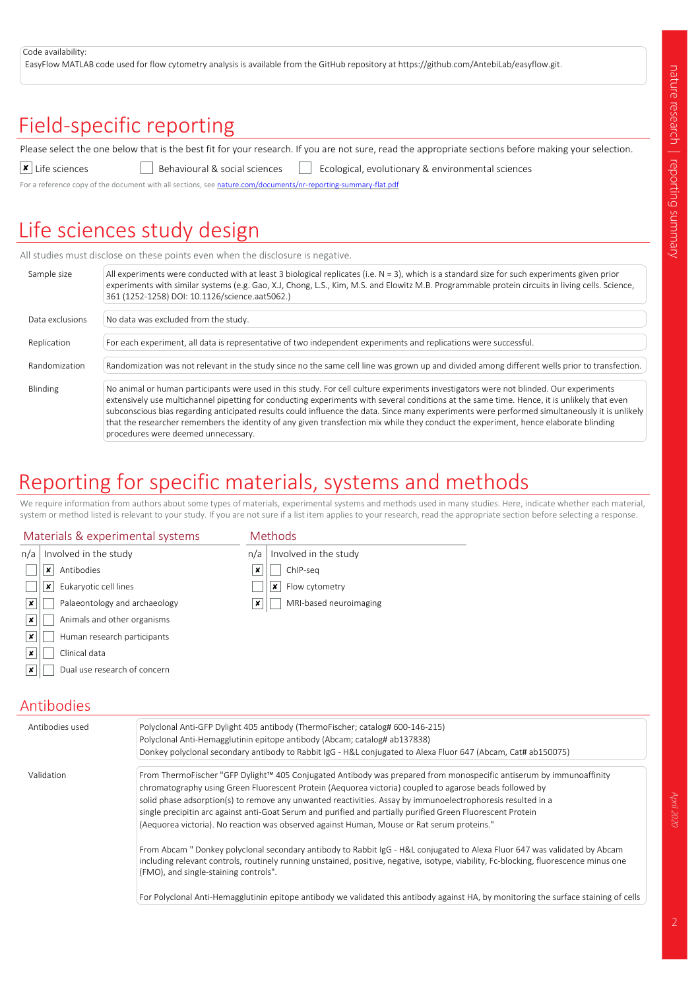#### Code availability:

EasyFlow MATLAB code used for flow cytometry analysis is available from the GitHub repository at https://github.com/AntebiLab/easyflow.git.

# Field-specific reporting

Please select the one below that is the best fit for your research. If you are not sure, read the appropriate sections before making your selection.

 $\overline{\phantom{a}}$  Life sciences **Behavioural & social sciences** Ecological, evolutionary & environmental sciences

For a reference copy of the document with all sections, see nature.com/documents/nr-reporting-summary-flat.pdf

# Life sciences study design

All studies must disclose on these points even when the disclosure is negative.

| Sample size     | All experiments were conducted with at least 3 biological replicates (i.e. $N = 3$ ), which is a standard size for such experiments given prior<br>experiments with similar systems (e.g. Gao, X.J, Chong, L.S., Kim, M.S. and Elowitz M.B. Programmable protein circuits in living cells. Science,<br>361 (1252-1258) DOI: 10.1126/science.aat5062.)                                                                                                                                                                                                                                                                |
|-----------------|----------------------------------------------------------------------------------------------------------------------------------------------------------------------------------------------------------------------------------------------------------------------------------------------------------------------------------------------------------------------------------------------------------------------------------------------------------------------------------------------------------------------------------------------------------------------------------------------------------------------|
| Data exclusions | No data was excluded from the study.                                                                                                                                                                                                                                                                                                                                                                                                                                                                                                                                                                                 |
| Replication     | For each experiment, all data is representative of two independent experiments and replications were successful.                                                                                                                                                                                                                                                                                                                                                                                                                                                                                                     |
| Randomization   | Randomization was not relevant in the study since no the same cell line was grown up and divided among different wells prior to transfection.                                                                                                                                                                                                                                                                                                                                                                                                                                                                        |
| Blinding        | No animal or human participants were used in this study. For cell culture experiments investigators were not blinded. Our experiments<br>extensively use multichannel pipetting for conducting experiments with several conditions at the same time. Hence, it is unlikely that even<br>subconscious bias regarding anticipated results could influence the data. Since many experiments were performed simultaneously it is unlikely<br>that the researcher remembers the identity of any given transfection mix while they conduct the experiment, hence elaborate blinding<br>procedures were deemed unnecessary. |

# Reporting for specific materials, systems and methods

We require information from authors about some types of materials, experimental systems and methods used in many studies. Here, indicate whether each material, system or method listed is relevant to your study. If you are not sure if a list item applies to your research, read the appropriate section before selecting a response.

| Materials & experimental systems |                               |                | <b>Methods</b>         |  |
|----------------------------------|-------------------------------|----------------|------------------------|--|
| n/a                              | Involved in the study         | n/a            | Involved in the study  |  |
|                                  | Antibodies<br>×               | x              | ChIP-seq               |  |
|                                  | Eukaryotic cell lines<br>×    |                | Flow cytometry<br>×    |  |
| ×                                | Palaeontology and archaeology | $\pmb{\times}$ | MRI-based neuroimaging |  |
| $\boldsymbol{x}$                 | Animals and other organisms   |                |                        |  |
| ×                                | Human research participants   |                |                        |  |
| . x '                            | Clinical data                 |                |                        |  |
| $\mathbf{x}$                     | Dual use research of concern  |                |                        |  |
|                                  |                               |                |                        |  |

### Antibodies

| Antibodies used | Polyclonal Anti-GFP Dylight 405 antibody (ThermoFischer; catalog# 600-146-215)<br>Polyclonal Anti-Hemagglutinin epitope antibody (Abcam; catalog# ab137838)<br>Donkey polyclonal secondary antibody to Rabbit IgG - H&L conjugated to Alexa Fluor 647 (Abcam, Cat# ab150075)                                                                                                                                                                                                                                                                                                                                                                                                             |
|-----------------|------------------------------------------------------------------------------------------------------------------------------------------------------------------------------------------------------------------------------------------------------------------------------------------------------------------------------------------------------------------------------------------------------------------------------------------------------------------------------------------------------------------------------------------------------------------------------------------------------------------------------------------------------------------------------------------|
| Validation      | From ThermoFischer "GFP Dylight™ 405 Conjugated Antibody was prepared from monospecific antiserum by immunoaffinity<br>chromatography using Green Fluorescent Protein (Aequorea victoria) coupled to agarose beads followed by<br>solid phase adsorption(s) to remove any unwanted reactivities. Assay by immunoelectrophoresis resulted in a<br>single precipitin arc against anti-Goat Serum and purified and partially purified Green Fluorescent Protein<br>(Aequorea victoria). No reaction was observed against Human, Mouse or Rat serum proteins."<br>From Abcam " Donkey polyclonal secondary antibody to Rabbit IgG - H&L conjugated to Alexa Fluor 647 was validated by Abcam |
|                 | including relevant controls, routinely running unstained, positive, negative, isotype, viability, Fc-blocking, fluorescence minus one<br>(FMO), and single-staining controls".<br>For Polyclonal Anti-Hemagglutinin epitope antibody we validated this antibody against HA, by monitoring the surface staining of cells                                                                                                                                                                                                                                                                                                                                                                  |

April 2020